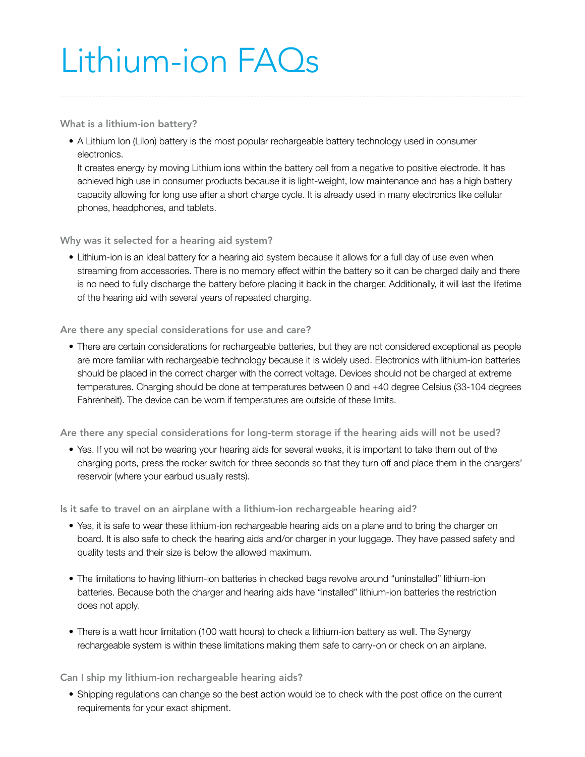## Lithium-ion FAQs

What is a lithium-ion battery?

• A Lithium Ion (LiIon) battery is the most popular rechargeable battery technology used in consumer electronics.

It creates energy by moving Lithium ions within the battery cell from a negative to positive electrode. It has achieved high use in consumer products because it is light-weight, low maintenance and has a high battery capacity allowing for long use after a short charge cycle. It is already used in many electronics like cellular phones, headphones, and tablets.

Why was it selected for a hearing aid system?

• Lithium-ion is an ideal battery for a hearing aid system because it allows for a full day of use even when streaming from accessories. There is no memory effect within the battery so it can be charged daily and there is no need to fully discharge the battery before placing it back in the charger. Additionally, it will last the lifetime of the hearing aid with several years of repeated charging.

Are there any special considerations for use and care?

• There are certain considerations for rechargeable batteries, but they are not considered exceptional as people are more familiar with rechargeable technology because it is widely used. Electronics with lithium-ion batteries should be placed in the correct charger with the correct voltage. Devices should not be charged at extreme temperatures. Charging should be done at temperatures between 0 and +40 degree Celsius (33-104 degrees Fahrenheit). The device can be worn if temperatures are outside of these limits.

Are there any special considerations for long-term storage if the hearing aids will not be used?

• Yes. If you will not be wearing your hearing aids for several weeks, it is important to take them out of the charging ports, press the rocker switch for three seconds so that they turn off and place them in the chargers' reservoir (where your earbud usually rests).

Is it safe to travel on an airplane with a lithium-ion rechargeable hearing aid?

- Yes, it is safe to wear these lithium-ion rechargeable hearing aids on a plane and to bring the charger on board. It is also safe to check the hearing aids and/or charger in your luggage. They have passed safety and quality tests and their size is below the allowed maximum.
- The limitations to having lithium-ion batteries in checked bags revolve around "uninstalled" lithium-ion batteries. Because both the charger and hearing aids have "installed" lithium-ion batteries the restriction does not apply.
- There is a watt hour limitation (100 watt hours) to check a lithium-ion battery as well. The Synergy rechargeable system is within these limitations making them safe to carry-on or check on an airplane.

Can I ship my lithium-ion rechargeable hearing aids?

• Shipping regulations can change so the best action would be to check with the post office on the current requirements for your exact shipment.